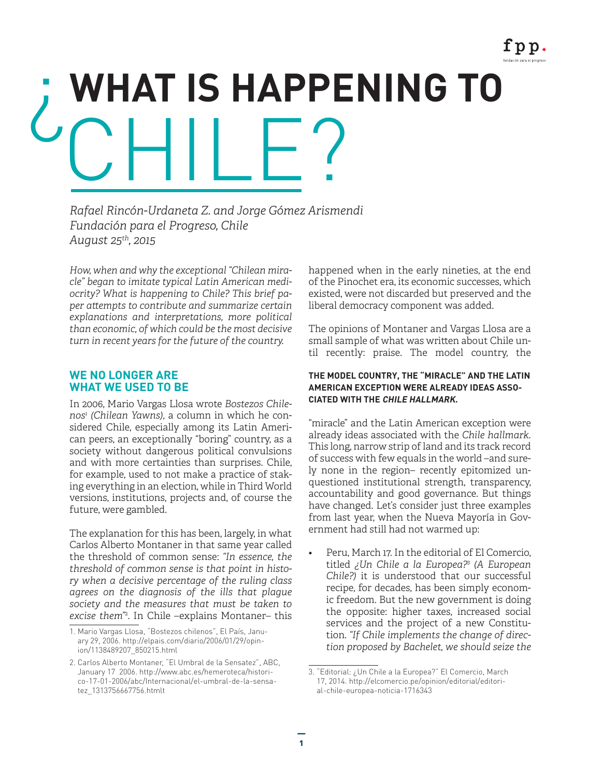# ¿**WHAT IS HAPPENING TO** CHILE?

*Rafael Rincón-Urdaneta Z. and Jorge Gómez Arismendi Fundación para el Progreso, Chile August 25th, 2015*

*How, when and why the exceptional "Chilean miracle" began to imitate typical Latin American mediocrity? What is happening to Chile? This brief paper attempts to contribute and summarize certain explanations and interpretations, more political than economic, of which could be the most decisive turn in recent years for the future of the country.*

### **WE NO LONGER ARE WHAT WE USED TO BE**

In 2006, Mario Vargas Llosa wrote *Bostezos Chilenos1 (Chilean Yawns)*, a column in which he considered Chile, especially among its Latin American peers, an exceptionally "boring" country, as a society without dangerous political convulsions and with more certainties than surprises. Chile, for example, used to not make a practice of staking everything in an election, while in Third World versions, institutions, projects and, of course the future, were gambled.

The explanation for this has been, largely, in what Carlos Alberto Montaner in that same year called the threshold of common sense: *"In essence, the threshold of common sense is that point in history when a decisive percentage of the ruling class agrees on the diagnosis of the ills that plague society and the measures that must be taken to excise them"*<sup>2</sup> . In Chile –explains Montaner– this happened when in the early nineties, at the end of the Pinochet era, its economic successes, which existed, were not discarded but preserved and the liberal democracy component was added.

The opinions of Montaner and Vargas Llosa are a small sample of what was written about Chile until recently: praise. The model country, the

#### **THE MODEL COUNTRY, THE "MIRACLE" AND THE LATIN AMERICAN EXCEPTION WERE ALREADY IDEAS ASSO-CIATED WITH THE CHILE HALLMARK.**

"miracle" and the Latin American exception were already ideas associated with the *Chile hallmark.* This long, narrow strip of land and its track record of success with few equals in the world –and surely none in the region– recently epitomized unquestioned institutional strength, transparency, accountability and good governance. But things have changed. Let's consider just three examples from last year, when the Nueva Mayoría in Government had still had not warmed up:

• Peru, March 17. In the editorial of El Comercio, titled *¿Un Chile a la Europea?3 (A European Chile?)* it is understood that our successful recipe, for decades, has been simply economic freedom. But the new government is doing the opposite: higher taxes, increased social services and the project of a new Constitution. *"If Chile implements the change of direction proposed by Bachelet, we should seize the* 

<sup>1.</sup> Mario Vargas Llosa, "Bostezos chilenos", El País, January 29, 2006. http://elpais.com/diario/2006/01/29/opinion/1138489207\_850215.html

<sup>2.</sup> Carlos Alberto Montaner, "El Umbral de la Sensatez", ABC, January 17 2006. http://www.abc.es/hemeroteca/historico-17-01-2006/abc/Internacional/el-umbral-de-la-sensatez\_1313756667756.htmlt

<sup>3. &</sup>quot;Editorial: ¿Un Chile a la Europea?" El Comercio, March 17, 2014. http://elcomercio.pe/opinion/editorial/editorial-chile-europea-noticia-1716343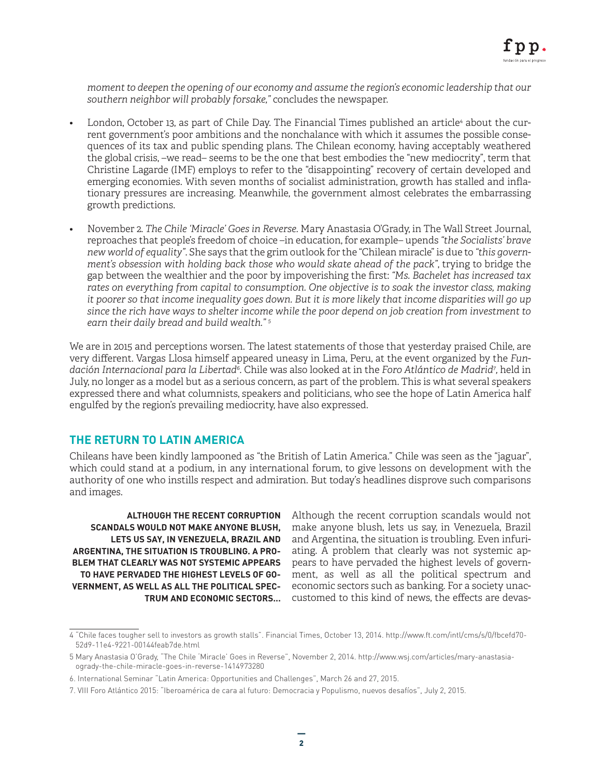*moment to deepen the opening of our economy and assume the region's economic leadership that our southern neighbor will probably forsake,"* concludes the newspaper.

- $\;$  London, October 13, as part of Chile Day. The Financial Times published an article $^4$  about the current government's poor ambitions and the nonchalance with which it assumes the possible consequences of its tax and public spending plans. The Chilean economy, having acceptably weathered the global crisis, –we read– seems to be the one that best embodies the "new mediocrity", term that Christine Lagarde (IMF) employs to refer to the "disappointing" recovery of certain developed and emerging economies. With seven months of socialist administration, growth has stalled and inflationary pressures are increasing. Meanwhile, the government almost celebrates the embarrassing growth predictions.
- November 2. *The Chile 'Miracle' Goes in Reverse.* Mary Anastasia O'Grady, in The Wall Street Journal, reproaches that people's freedom of choice –in education, for example– upends *"the Socialists' brave new world of equality"*. She says that the grim outlook for the "Chilean miracle" is due to *"this government's obsession with holding back those who would skate ahead of the pack"*, trying to bridge the gap between the wealthier and the poor by impoverishing the first: *"Ms. Bachelet has increased tax rates on everything from capital to consumption. One objective is to soak the investor class, making it poorer so that income inequality goes down. But it is more likely that income disparities will go up since the rich have ways to shelter income while the poor depend on job creation from investment to earn their daily bread and build wealth." 5*

We are in 2015 and perceptions worsen. The latest statements of those that yesterday praised Chile, are very different. Vargas Llosa himself appeared uneasy in Lima, Peru, at the event organized by the *Fundación Internacional para la Libertad6 .* Chile was also looked at in the *Foro Atlántico de Madrid7 ,* held in July, no longer as a model but as a serious concern, as part of the problem. This is what several speakers expressed there and what columnists, speakers and politicians, who see the hope of Latin America half engulfed by the region's prevailing mediocrity, have also expressed.

# **THE RETURN TO LATIN AMERICA**

Chileans have been kindly lampooned as "the British of Latin America." Chile was seen as the "jaguar", which could stand at a podium, in any international forum, to give lessons on development with the authority of one who instills respect and admiration. But today's headlines disprove such comparisons and images.

**ALTHOUGH THE RECENT CORRUPTION SCANDALS WOULD NOT MAKE ANYONE BLUSH, LETS US SAY, IN VENEZUELA, BRAZIL AND ARGENTINA, THE SITUATION IS TROUBLING. A PRO-BLEM THAT CLEARLY WAS NOT SYSTEMIC APPEARS TO HAVE PERVADED THE HIGHEST LEVELS OF GO-VERNMENT, AS WELL AS ALL THE POLITICAL SPEC-TRUM AND ECONOMIC SECTORS...**

Although the recent corruption scandals would not make anyone blush, lets us say, in Venezuela, Brazil and Argentina, the situation is troubling. Even infuriating. A problem that clearly was not systemic appears to have pervaded the highest levels of government, as well as all the political spectrum and economic sectors such as banking. For a society unaccustomed to this kind of news, the effects are devas-

<sup>4 &</sup>quot;Chile faces tougher sell to investors as growth stalls". Financial Times, October 13, 2014. http://www.ft.com/intl/cms/s/0/fbcefd70- 52d9-11e4-9221-00144feab7de.html

<sup>5</sup> Mary Anastasia O'Grady, "The Chile 'Miracle' Goes in Reverse", November 2, 2014. http://www.wsj.com/articles/mary-anastasiaogrady-the-chile-miracle-goes-in-reverse-1414973280

<sup>6.</sup> International Seminar "Latin America: Opportunities and Challenges", March 26 and 27, 2015.

<sup>7.</sup> VIII Foro Atlántico 2015: "Iberoamérica de cara al futuro: Democracia y Populismo, nuevos desafíos", July 2, 2015.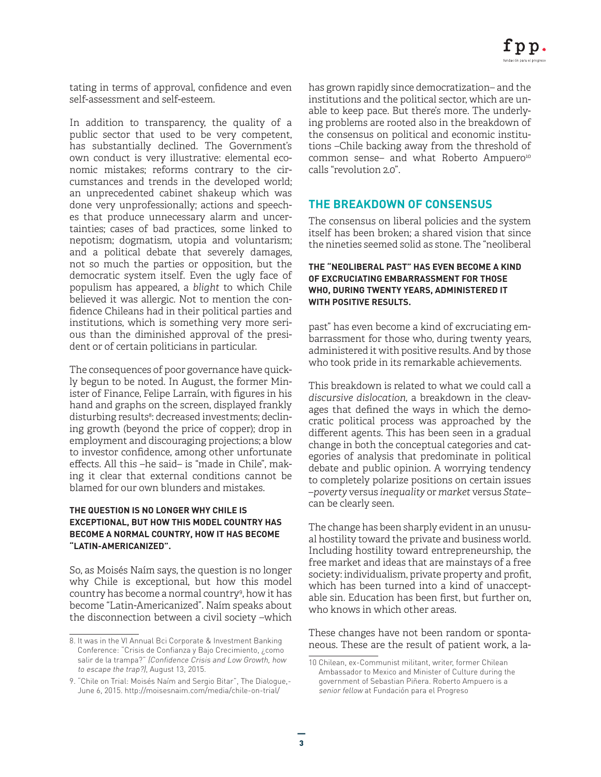tating in terms of approval, confidence and even self-assessment and self-esteem.

In addition to transparency, the quality of a public sector that used to be very competent, has substantially declined. The Government's own conduct is very illustrative: elemental economic mistakes; reforms contrary to the circumstances and trends in the developed world; an unprecedented cabinet shakeup which was done very unprofessionally; actions and speeches that produce unnecessary alarm and uncertainties; cases of bad practices, some linked to nepotism; dogmatism, utopia and voluntarism; and a political debate that severely damages, not so much the parties or opposition, but the democratic system itself. Even the ugly face of populism has appeared, a *blight* to which Chile believed it was allergic. Not to mention the confidence Chileans had in their political parties and institutions, which is something very more serious than the diminished approval of the president or of certain politicians in particular.

The consequences of poor governance have quickly begun to be noted. In August, the former Minister of Finance, Felipe Larraín, with figures in his hand and graphs on the screen, displayed frankly disturbing results<sup>8</sup>: decreased investments; declining growth (beyond the price of copper); drop in employment and discouraging projections; a blow to investor confidence, among other unfortunate effects. All this –he said– is "made in Chile", making it clear that external conditions cannot be blamed for our own blunders and mistakes.

#### **THE QUESTION IS NO LONGER WHY CHILE IS EXCEPTIONAL, BUT HOW THIS MODEL COUNTRY HAS BECOME A NORMAL COUNTRY, HOW IT HAS BECOME "LATIN-AMERICANIZED".**

So, as Moisés Naím says, the question is no longer why Chile is exceptional, but how this model country has become a normal country9 , how it has become "Latin-Americanized". Naím speaks about the disconnection between a civil society –which has grown rapidly since democratization– and the institutions and the political sector, which are unable to keep pace. But there's more. The underlying problems are rooted also in the breakdown of the consensus on political and economic institutions –Chile backing away from the threshold of common sense- and what Roberto Ampuero<sup>10</sup> calls "revolution 2.0".

## **THE BREAKDOWN OF CONSENSUS**

The consensus on liberal policies and the system itself has been broken; a shared vision that since the nineties seemed solid as stone. The "neoliberal

#### **THE "NEOLIBERAL PAST" HAS EVEN BECOME A KIND OF EXCRUCIATING EMBARRASSMENT FOR THOSE WHO, DURING TWENTY YEARS, ADMINISTERED IT WITH POSITIVE RESULTS.**

past" has even become a kind of excruciating embarrassment for those who, during twenty years, administered it with positive results. And by those who took pride in its remarkable achievements.

This breakdown is related to what we could call a *discursive dislocation,* a breakdown in the cleavages that defined the ways in which the democratic political process was approached by the different agents. This has been seen in a gradual change in both the conceptual categories and categories of analysis that predominate in political debate and public opinion. A worrying tendency to completely polarize positions on certain issues –*poverty* versus *inequality* or *market* versus *State*– can be clearly seen.

The change has been sharply evident in an unusual hostility toward the private and business world. Including hostility toward entrepreneurship, the free market and ideas that are mainstays of a free society: individualism, private property and profit, which has been turned into a kind of unacceptable sin. Education has been first, but further on, who knows in which other areas.

These changes have not been random or spontaneous. These are the result of patient work, a la-

<sup>8.</sup> It was in the VI Annual Bci Corporate & Investment Banking Conference: "Crisis de Confianza y Bajo Crecimiento, ¿como salir de la trampa?" (Confidence Crisis and Low Growth, how to escape the trap?), August 13, 2015.

<sup>9. &</sup>quot;Chile on Trial: Moisés Naím and Sergio Bitar", The Dialogue,- June 6, 2015. http://moisesnaim.com/media/chile-on-trial/

<sup>10</sup> Chilean, ex-Communist militant, writer, former Chilean Ambassador to Mexico and Minister of Culture during the government of Sebastian Piñera. Roberto Ampuero is a senior fellow at Fundación para el Progreso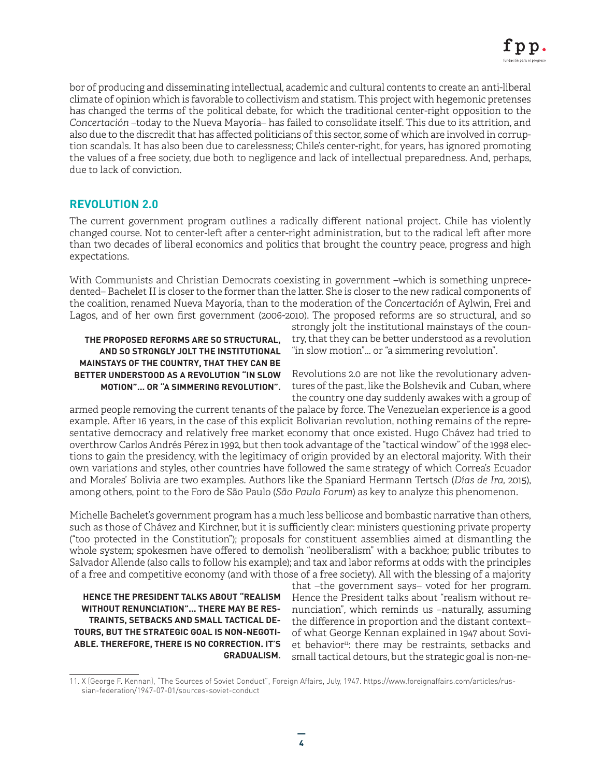bor of producing and disseminating intellectual, academic and cultural contents to create an anti-liberal climate of opinion which is favorable to collectivism and statism. This project with hegemonic pretenses has changed the terms of the political debate, for which the traditional center-right opposition to the *Concertación* –today to the Nueva Mayoría– has failed to consolidate itself. This due to its attrition, and also due to the discredit that has affected politicians of this sector, some of which are involved in corruption scandals. It has also been due to carelessness; Chile's center-right, for years, has ignored promoting the values of a free society, due both to negligence and lack of intellectual preparedness. And, perhaps, due to lack of conviction.

# **REVOLUTION 2.0**

The current government program outlines a radically different national project. Chile has violently changed course. Not to center-left after a center-right administration, but to the radical left after more than two decades of liberal economics and politics that brought the country peace, progress and high expectations.

With Communists and Christian Democrats coexisting in government –which is something unprecedented– Bachelet II is closer to the former than the latter. She is closer to the new radical components of the coalition, renamed Nueva Mayoría, than to the moderation of the *Concertación* of Aylwin, Frei and Lagos, and of her own first government (2006-2010). The proposed reforms are so structural, and so

#### **THE PROPOSED REFORMS ARE SO STRUCTURAL, AND SO STRONGLY JOLT THE INSTITUTIONAL MAINSTAYS OF THE COUNTRY, THAT THEY CAN BE BETTER UNDERSTOOD AS A REVOLUTION "IN SLOW MOTION"... OR "A SIMMERING REVOLUTION".**

strongly jolt the institutional mainstays of the country, that they can be better understood as a revolution "in slow motion"... or "a simmering revolution".

Revolutions 2.0 are not like the revolutionary adventures of the past, like the Bolshevik and Cuban, where the country one day suddenly awakes with a group of

armed people removing the current tenants of the palace by force. The Venezuelan experience is a good example. After 16 years, in the case of this explicit Bolivarian revolution, nothing remains of the representative democracy and relatively free market economy that once existed. Hugo Chávez had tried to overthrow Carlos Andrés Pérez in 1992, but then took advantage of the "tactical window" of the 1998 elections to gain the presidency, with the legitimacy of origin provided by an electoral majority. With their own variations and styles, other countries have followed the same strategy of which Correa's Ecuador and Morales' Bolivia are two examples. Authors like the Spaniard Hermann Tertsch (*Días de Ira,* 2015), among others, point to the Foro de São Paulo (*São Paulo Forum*) as key to analyze this phenomenon.

Michelle Bachelet's government program has a much less bellicose and bombastic narrative than others, such as those of Chávez and Kirchner, but it is sufficiently clear: ministers questioning private property ("too protected in the Constitution"); proposals for constituent assemblies aimed at dismantling the whole system; spokesmen have offered to demolish "neoliberalism" with a backhoe; public tributes to Salvador Allende (also calls to follow his example); and tax and labor reforms at odds with the principles of a free and competitive economy (and with those of a free society). All with the blessing of a majority

**HENCE THE PRESIDENT TALKS ABOUT "REALISM WITHOUT RENUNCIATION"... THERE MAY BE RES-TRAINTS, SETBACKS AND SMALL TACTICAL DE-TOURS, BUT THE STRATEGIC GOAL IS NON-NEGOTI-ABLE. THEREFORE, THERE IS NO CORRECTION. IT'S GRADUALISM.**

that –the government says– voted for her program. Hence the President talks about "realism without renunciation", which reminds us –naturally, assuming the difference in proportion and the distant context– of what George Kennan explained in 1947 about Soviet behavior<sup>11</sup>: there may be restraints, setbacks and small tactical detours, but the strategic goal is non-ne-

<sup>11.</sup> X (George F. Kennan), "The Sources of Soviet Conduct", Foreign Affairs, July, 1947. https://www.foreignaffairs.com/articles/russian-federation/1947-07-01/sources-soviet-conduct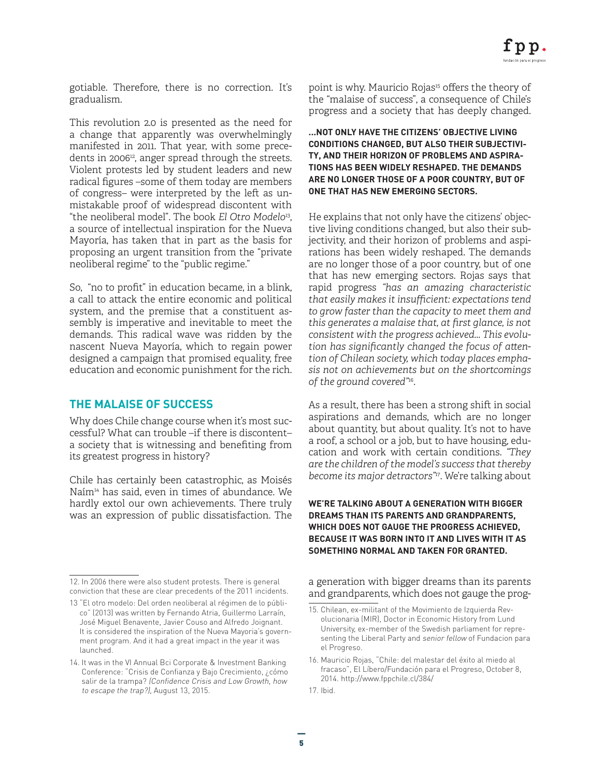gotiable. Therefore, there is no correction. It's gradualism.

This revolution 2.0 is presented as the need for a change that apparently was overwhelmingly manifested in 2011. That year, with some precedents in 2006<sup>12</sup>, anger spread through the streets. Violent protests led by student leaders and new radical figures –some of them today are members of congress– were interpreted by the left as unmistakable proof of widespread discontent with "the neoliberal model". The book *El Otro Modelo*13, a source of intellectual inspiration for the Nueva Mayoría, has taken that in part as the basis for proposing an urgent transition from the "private neoliberal regime" to the "public regime."

So, "no to profit" in education became, in a blink, a call to attack the entire economic and political system, and the premise that a constituent assembly is imperative and inevitable to meet the demands. This radical wave was ridden by the nascent Nueva Mayoría, which to regain power designed a campaign that promised equality, free education and economic punishment for the rich.

### **THE MALAISE OF SUCCESS**

Why does Chile change course when it's most successful? What can trouble –if there is discontent– a society that is witnessing and benefiting from its greatest progress in history?

Chile has certainly been catastrophic, as Moisés Naím14 has said, even in times of abundance. We hardly extol our own achievements. There truly was an expression of public dissatisfaction. The

point is why. Mauricio Rojas<sup>15</sup> offers the theory of the "malaise of success", a consequence of Chile's progress and a society that has deeply changed.

#### **...NOT ONLY HAVE THE CITIZENS' OBJECTIVE LIVING CONDITIONS CHANGED, BUT ALSO THEIR SUBJECTIVI-TY, AND THEIR HORIZON OF PROBLEMS AND ASPIRA-TIONS HAS BEEN WIDELY RESHAPED. THE DEMANDS ARE NO LONGER THOSE OF A POOR COUNTRY, BUT OF ONE THAT HAS NEW EMERGING SECTORS.**

He explains that not only have the citizens' objective living conditions changed, but also their subjectivity, and their horizon of problems and aspirations has been widely reshaped. The demands are no longer those of a poor country, but of one that has new emerging sectors. Rojas says that rapid progress *"has an amazing characteristic that easily makes it insufficient: expectations tend to grow faster than the capacity to meet them and this generates a malaise that, at first glance, is not consistent with the progress achieved... This evolution has significantly changed the focus of attention of Chilean society, which today places emphasis not on achievements but on the shortcomings of the ground covered"*16.

As a result, there has been a strong shift in social aspirations and demands, which are no longer about quantity, but about quality. It's not to have a roof, a school or a job, but to have housing, education and work with certain conditions. *"They are the children of the model's success that thereby become its major detractors"*17. We're talking about

#### **WE'RE TALKING ABOUT A GENERATION WITH BIGGER DREAMS THAN ITS PARENTS AND GRANDPARENTS, WHICH DOES NOT GAUGE THE PROGRESS ACHIEVED, BECAUSE IT WAS BORN INTO IT AND LIVES WITH IT AS SOMETHING NORMAL AND TAKEN FOR GRANTED.**

a generation with bigger dreams than its parents and grandparents, which does not gauge the prog-

<sup>12.</sup> In 2006 there were also student protests. There is general conviction that these are clear precedents of the 2011 incidents.

<sup>13 &</sup>quot;El otro modelo: Del orden neoliberal al régimen de lo público" (2013) was written by Fernando Atria, Guillermo Larraín, José Miguel Benavente, Javier Couso and Alfredo Joignant. It is considered the inspiration of the Nueva Mayoria's government program. And it had a great impact in the year it was launched.

<sup>14.</sup> It was in the VI Annual Bci Corporate & Investment Banking Conference: "Crisis de Confianza y Bajo Crecimiento, ¿cómo salir de la trampa? (Confidence Crisis and Low Growth, how to escape the trap?), August 13, 2015.

<sup>15.</sup> Chilean, ex-militant of the Movimiento de Izquierda Revolucionaria (MIR), Doctor in Economic History from Lund University, ex-member of the Swedish parliament for representing the Liberal Party and senior fellow of Fundacion para el Progreso.

<sup>16.</sup> Mauricio Rojas, "Chile: del malestar del éxito al miedo al fracaso", El Líbero/Fundación para el Progreso, October 8, 2014. http://www.fppchile.cl/384/

<sup>17.</sup> Ibid.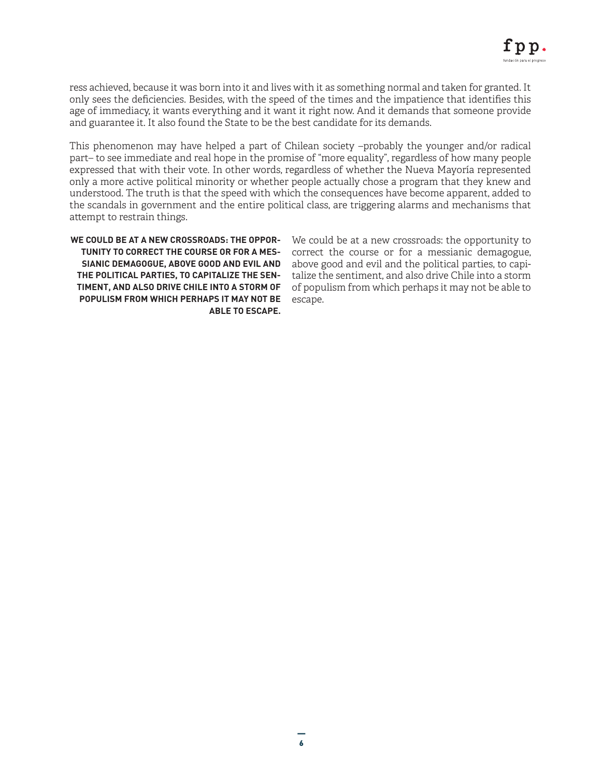ress achieved, because it was born into it and lives with it as something normal and taken for granted. It only sees the deficiencies. Besides, with the speed of the times and the impatience that identifies this age of immediacy, it wants everything and it want it right now. And it demands that someone provide and guarantee it. It also found the State to be the best candidate for its demands.

This phenomenon may have helped a part of Chilean society –probably the younger and/or radical part– to see immediate and real hope in the promise of "more equality", regardless of how many people expressed that with their vote. In other words, regardless of whether the Nueva Mayoría represented only a more active political minority or whether people actually chose a program that they knew and understood. The truth is that the speed with which the consequences have become apparent, added to the scandals in government and the entire political class, are triggering alarms and mechanisms that attempt to restrain things.

**WE COULD BE AT A NEW CROSSROADS: THE OPPOR-TUNITY TO CORRECT THE COURSE OR FOR A MES-SIANIC DEMAGOGUE, ABOVE GOOD AND EVIL AND THE POLITICAL PARTIES, TO CAPITALIZE THE SEN-TIMENT, AND ALSO DRIVE CHILE INTO A STORM OF POPULISM FROM WHICH PERHAPS IT MAY NOT BE ABLE TO ESCAPE.**

We could be at a new crossroads: the opportunity to correct the course or for a messianic demagogue, above good and evil and the political parties, to capitalize the sentiment, and also drive Chile into a storm of populism from which perhaps it may not be able to escape.